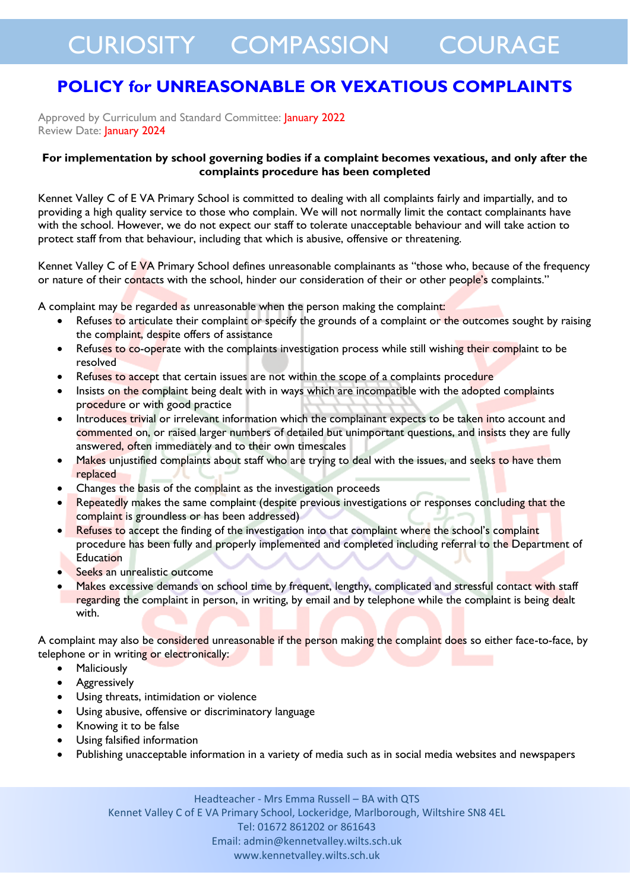## CURIOSITY COMPASSION COURAGE

### **POLICY for UNREASONABLE OR VEXATIOUS COMPLAINTS**

Approved by Curriculum and Standard Committee: January 2022 Review Date: **January 2024** 

#### **For implementation by school governing bodies if a complaint becomes vexatious, and only after the complaints procedure has been completed**

Kennet Valley C of E VA Primary School is committed to dealing with all complaints fairly and impartially, and to providing a high quality service to those who complain. We will not normally limit the contact complainants have with the school. However, we do not expect our staff to tolerate unacceptable behaviour and will take action to protect staff from that behaviour, including that which is abusive, offensive or threatening.

Kennet Valley C of EVA Primary School defines unreasonable complainants as "those who, because of the frequency or nature of their contacts with the school, hinder our consideration of their or other people's complaints."

A complaint may be regarded as unreasonable when the person making the complaint:

- Refuses to articulate their complaint or specify the grounds of a complaint or the outcomes sought by raising the complaint, despite offers of assistance
- Refuses to co-operate with the complaints investigation process while still wishing their complaint to be resolved
- Refuses to accept that certain issues are not within the scope of a complaints procedure
- Insists on the complaint being dealt with in ways which are incompatible with the adopted complaints procedure or with good practice
- Introduces trivial or irrelevant information which the complainant expects to be taken into account and commented on, or raised larger numbers of detailed but unimportant questions, and insists they are fully answered, often immediately and to their own timescales
- Makes unjustified complaints about staff who are trying to deal with the issues, and seeks to have them replaced
- Changes the basis of the complaint as the investigation proceeds
- Repeatedly makes the same complaint (despite previous investigations or responses concluding that the complaint is groundless or has been addressed)
- Refuses to accept the finding of the investigation into that complaint where the school's complaint procedure has been fully and properly implemented and completed including referral to the Department of Education
- Seeks an unrealistic outcome
- Makes excessive demands on school time by frequent, lengthy, complicated and stressful contact with staff regarding the complaint in person, in writing, by email and by telephone while the complaint is being dealt with.

A complaint may also be considered unreasonable if the person making the complaint does so either face-to-face, by telephone or in writing or electronically:

- Maliciously
- Aggressively
- Using threats, intimidation or violence
- Using abusive, offensive or discriminatory language
- Knowing it to be false
- Using falsified information
- Publishing unacceptable information in a variety of media such as in social media websites and newspapers

Headteacher - Mrs Emma Russell – BA with QTS Kennet Valley C of E VA Primary School, Lockeridge, Marlborough, Wiltshire SN8 4EL Tel: 01672 861202 or 861643 Email: admin@kennetvalley.wilts.sch.uk www.kennetvalley.wilts.sch.uk